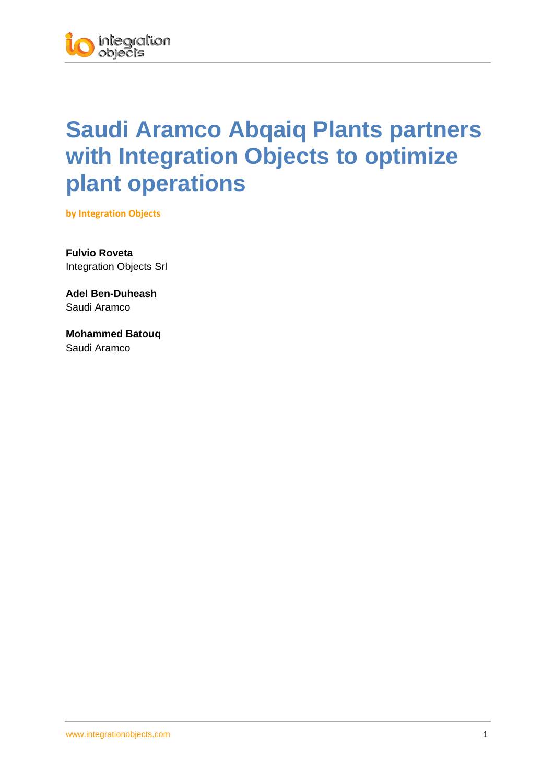## **Saudi Aramco Abqaiq Plants partners with Integration Objects to optimize plant operations**

**by Integration Objects**

**Fulvio Roveta** Integration Objects Srl

**Adel Ben-Duheash** Saudi Aramco

**Mohammed Batouq** Saudi Aramco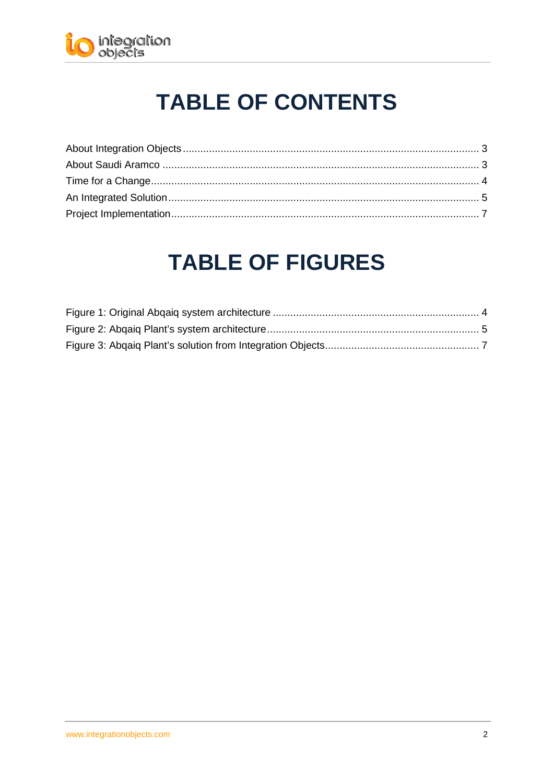

# **TABLE OF CONTENTS**

## **TABLE OF FIGURES**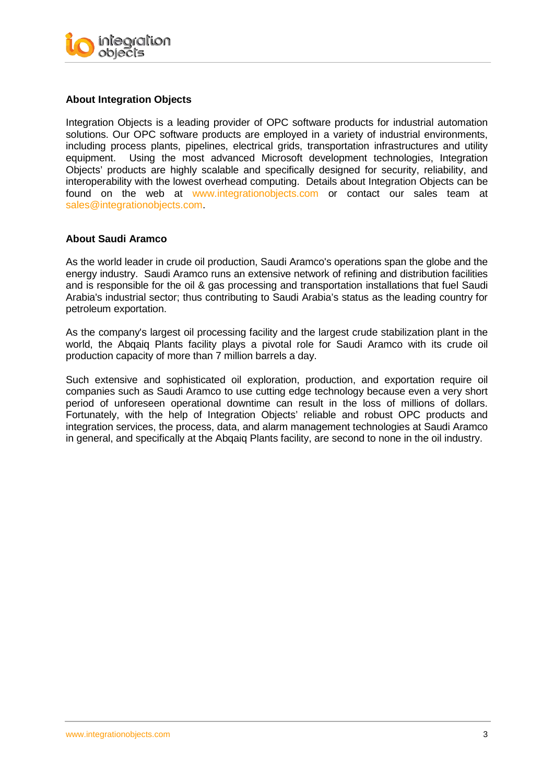

#### <span id="page-2-0"></span>**About Integration Objects**

Integration Objects is a leading provider of OPC software products for industrial automation solutions. Our OPC software products are employed in a variety of industrial environments, including process plants, pipelines, electrical grids, transportation infrastructures and utility equipment. Using the most advanced Microsoft development technologies, Integration Objects' products are highly scalable and specifically designed for security, reliability, and interoperability with the lowest overhead computing. Details about Integration Objects can be found on the web at [www.integrationobjects.com](http://www.integrationobjects.com/) or contact our sales team at [sales@integrationobjects.com.](mailto:%20sales@integrationobjects.com)

#### <span id="page-2-1"></span>**About Saudi Aramco**

As the world leader in crude oil production, Saudi Aramco's operations span the globe and the energy industry. Saudi Aramco runs an extensive network of refining and distribution facilities and is responsible for the oil & gas processing and transportation installations that fuel Saudi Arabia's industrial sector; thus contributing to Saudi Arabia's status as the leading country for petroleum exportation.

As the company's largest oil processing facility and the largest crude stabilization plant in the world, the Abqaiq Plants facility plays a pivotal role for Saudi Aramco with its crude oil production capacity of more than 7 million barrels a day.

Such extensive and sophisticated oil exploration, production, and exportation require oil companies such as Saudi Aramco to use cutting edge technology because even a very short period of unforeseen operational downtime can result in the loss of millions of dollars. Fortunately, with the help of Integration Objects' reliable and robust OPC products and integration services, the process, data, and alarm management technologies at Saudi Aramco in general, and specifically at the Abqaiq Plants facility, are second to none in the oil industry.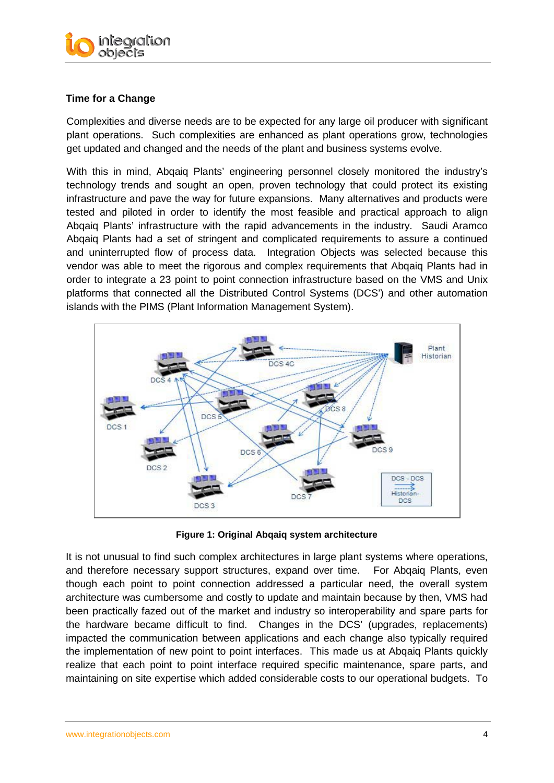

### <span id="page-3-0"></span>**Time for a Change**

Complexities and diverse needs are to be expected for any large oil producer with significant plant operations. Such complexities are enhanced as plant operations grow, technologies get updated and changed and the needs of the plant and business systems evolve.

With this in mind, Abqaiq Plants' engineering personnel closely monitored the industry's technology trends and sought an open, proven technology that could protect its existing infrastructure and pave the way for future expansions. Many alternatives and products were tested and piloted in order to identify the most feasible and practical approach to align Abqaiq Plants' infrastructure with the rapid advancements in the industry. Saudi Aramco Abqaiq Plants had a set of stringent and complicated requirements to assure a continued and uninterrupted flow of process data. Integration Objects was selected because this vendor was able to meet the rigorous and complex requirements that Abqaiq Plants had in order to integrate a 23 point to point connection infrastructure based on the VMS and Unix platforms that connected all the Distributed Control Systems (DCS') and other automation islands with the PIMS (Plant Information Management System).



**Figure 1: Original Abqaiq system architecture**

<span id="page-3-1"></span>It is not unusual to find such complex architectures in large plant systems where operations, and therefore necessary support structures, expand over time. For Abqaiq Plants, even though each point to point connection addressed a particular need, the overall system architecture was cumbersome and costly to update and maintain because by then, VMS had been practically fazed out of the market and industry so interoperability and spare parts for the hardware became difficult to find. Changes in the DCS' (upgrades, replacements) impacted the communication between applications and each change also typically required the implementation of new point to point interfaces. This made us at Abqaiq Plants quickly realize that each point to point interface required specific maintenance, spare parts, and maintaining on site expertise which added considerable costs to our operational budgets. To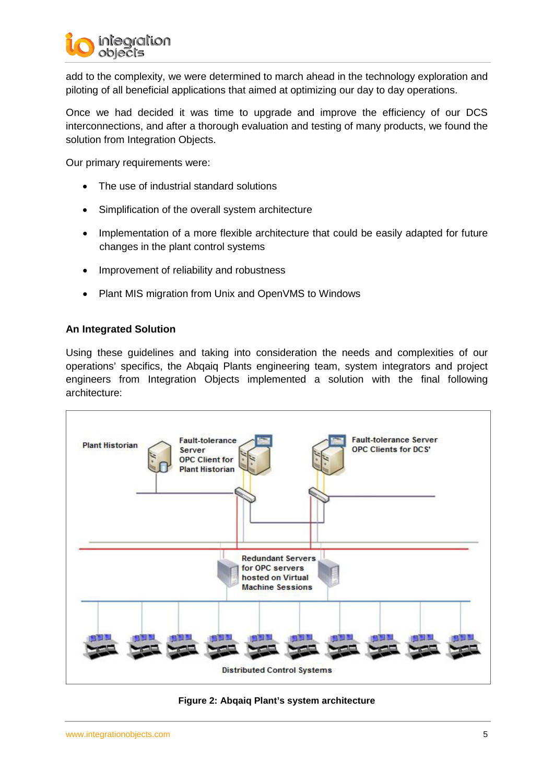

add to the complexity, we were determined to march ahead in the technology exploration and piloting of all beneficial applications that aimed at optimizing our day to day operations.

Once we had decided it was time to upgrade and improve the efficiency of our DCS interconnections, and after a thorough evaluation and testing of many products, we found the solution from Integration Objects.

Our primary requirements were:

- The use of industrial standard solutions
- Simplification of the overall system architecture
- Implementation of a more flexible architecture that could be easily adapted for future changes in the plant control systems
- Improvement of reliability and robustness
- Plant MIS migration from Unix and OpenVMS to Windows

#### <span id="page-4-0"></span>**An Integrated Solution**

Using these guidelines and taking into consideration the needs and complexities of our operations' specifics, the Abqaiq Plants engineering team, system integrators and project engineers from Integration Objects implemented a solution with the final following architecture:



<span id="page-4-1"></span>**Figure 2: Abqaiq Plant's system architecture**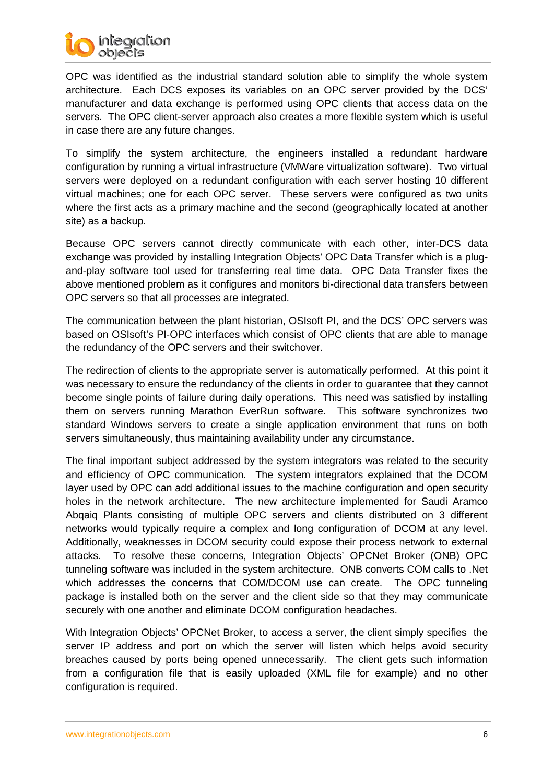

OPC was identified as the industrial standard solution able to simplify the whole system architecture. Each DCS exposes its variables on an OPC server provided by the DCS' manufacturer and data exchange is performed using OPC clients that access data on the servers. The OPC client-server approach also creates a more flexible system which is useful in case there are any future changes.

To simplify the system architecture, the engineers installed a redundant hardware configuration by running a virtual infrastructure (VMWare virtualization software). Two virtual servers were deployed on a redundant configuration with each server hosting 10 different virtual machines; one for each OPC server. These servers were configured as two units where the first acts as a primary machine and the second (geographically located at another site) as a backup.

Because OPC servers cannot directly communicate with each other, inter-DCS data exchange was provided by installing Integration Objects' OPC Data Transfer which is a plugand-play software tool used for transferring real time data. OPC Data Transfer fixes the above mentioned problem as it configures and monitors bi-directional data transfers between OPC servers so that all processes are integrated.

The communication between the plant historian, OSIsoft PI, and the DCS' OPC servers was based on OSIsoft's PI-OPC interfaces which consist of OPC clients that are able to manage the redundancy of the OPC servers and their switchover.

The redirection of clients to the appropriate server is automatically performed. At this point it was necessary to ensure the redundancy of the clients in order to guarantee that they cannot become single points of failure during daily operations. This need was satisfied by installing them on servers running Marathon EverRun software. This software synchronizes two standard Windows servers to create a single application environment that runs on both servers simultaneously, thus maintaining availability under any circumstance.

The final important subject addressed by the system integrators was related to the security and efficiency of OPC communication. The system integrators explained that the DCOM layer used by OPC can add additional issues to the machine configuration and open security holes in the network architecture. The new architecture implemented for Saudi Aramco Abqaiq Plants consisting of multiple OPC servers and clients distributed on 3 different networks would typically require a complex and long configuration of DCOM at any level. Additionally, weaknesses in DCOM security could expose their process network to external attacks. To resolve these concerns, Integration Objects' OPCNet Broker (ONB) OPC tunneling software was included in the system architecture. ONB converts COM calls to .Net which addresses the concerns that COM/DCOM use can create. The OPC tunneling package is installed both on the server and the client side so that they may communicate securely with one another and eliminate DCOM configuration headaches.

With Integration Objects' OPCNet Broker, to access a server, the client simply specifies the server IP address and port on which the server will listen which helps avoid security breaches caused by ports being opened unnecessarily. The client gets such information from a configuration file that is easily uploaded (XML file for example) and no other configuration is required.